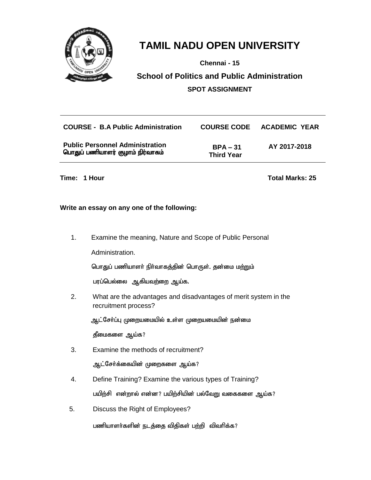

**Chennai - 15**

## **School of Politics and Public Administration SPOT ASSIGNMENT**

| <b>COURSE - B.A Public Administration</b>                                  |                                 | <b>COURSE CODE ACADEMIC YEAR</b> |
|----------------------------------------------------------------------------|---------------------------------|----------------------------------|
| <b>Public Personnel Administration</b><br>பொதுப் பணியாளர் குழாம் நிர்வாகம் | $BPA - 31$<br><b>Third Year</b> | AY 2017-2018                     |

**Time: 1 Hour Total Marks: 25**

## **Write an essay on any one of the following:**

1. Examine the meaning, Nature and Scope of Public Personal

Administration.

பொதுப் பணியாளா் நிா்வாகத்தின் பொருள். தன்மை மற்றும்

பரப்பெல்லை ஆகியவற்றை ஆய்க.

2. What are the advantages and disadvantages of merit system in the recruitment process?

ஆட்சேர்ப்பு முறையமையில் உள்ள முறையமையின் நன்மை

தீமைகளை ஆய்க?

- 3. Examine the methods of recruitment? ஆட்சேர்க்கையின் முறைகளை ஆய்க?
- 4. Define Training? Examine the various types of Training? பயிற்சி என்றால் என்ன? பயிற்சியின் பல்வேறு வகைகளை ஆய்க?
- 5. Discuss the Right of Employees?

பணியாளர்களின் நடத்தை விதிகள் பற்றி விவரிக்க?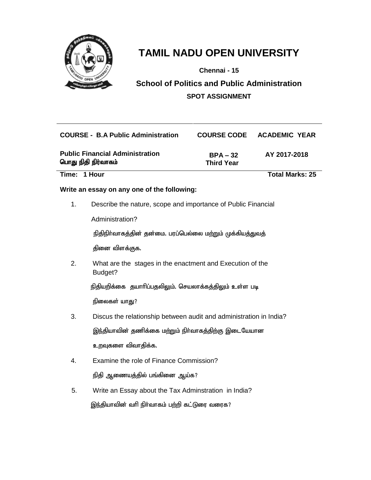

**Chennai - 15**

**School of Politics and Public Administration SPOT ASSIGNMENT**

| <b>COURSE - B.A Public Administration</b>                     |                                 | <b>COURSE CODE ACADEMIC YEAR</b> |
|---------------------------------------------------------------|---------------------------------|----------------------------------|
| <b>Public Financial Administration</b><br>பொது நிதி நிர்வாகம் | $BPA - 32$<br><b>Third Year</b> | AY 2017-2018                     |
| Time: 1 Hour                                                  |                                 | <b>Total Marks: 25</b>           |

## **Write an essay on any one of the following:**

1. Describe the nature, scope and importance of Public Financial

Administration?

நிதிநிர்வாகத்தின் தன்மை. பரப்பெல்லை மற்றும் முக்கியத்துவத்

தினை விளக்குக.

2. What are the stages in the enactment and Execution of the Budget?

நிதியறிக்கை தயாரிப்பதலிலும். செயலாக்கத்திலும் உள்ள படி

நிலைகள் யாது?

- 3. Discus the relationship between audit and administration in India? இந்தியாவின் தணிக்கை மற்றும் நிர்வாகத்திற்கு இடையேயான உறவுகளை விவாதிக்க.
- 4. Examine the role of Finance Commission? நிதி ஆணையத்தில் பங்கினை ஆய்க?
- 5. Write an Essay about the Tax Adminstration in India? இந்தியாவின் வரி நிர்வாகம் பற்றி கட்டுரை வரைக?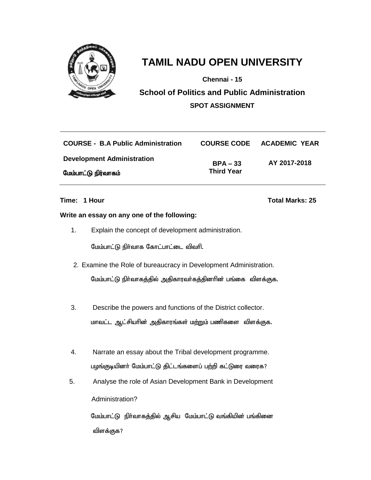

**Chennai - 15**

**School of Politics and Public Administration SPOT ASSIGNMENT**

| <b>COURSE - B.A Public Administration</b> |                   | COURSE CODE ACADEMIC YEAR |
|-------------------------------------------|-------------------|---------------------------|
| <b>Development Administration</b>         | $BPA - 33$        | AY 2017-2018              |
| மேம்பாட்டு நிர்வாகம்                      | <b>Third Year</b> |                           |

## **Time: 1 Hour Total Marks: 25**

## **Write an essay on any one of the following:**

1. Explain the concept of development administration.

மேம்பாட்டு நிர்வாக கோட்பாட்டை விவரி.

- 2. Examine the Role of bureaucracy in Development Administration. மேம்பாட்டு நிர்வாகத்தில் அதிகாரவர்கத்தினரின் பங்கை விளக்குக.
- 3. Describe the powers and functions of the District collector. மாவட்ட ஆட்சியாின் அதிகாரங்கள் மற்றும் பணிகளை விளக்குக.
- 4. Narrate an essay about the Tribal development programme. பழங்குடியினர் மேம்பாட்டு திட்டங்களைப் பற்றி கட்டுரை வரைக?
- 5. Analyse the role of Asian Development Bank in Development Administration?

மேம்பாட்டு நிர்வாகத்தில் ஆசிய மேம்பாட்டு வங்கியின் பங்கினை விளக்குக?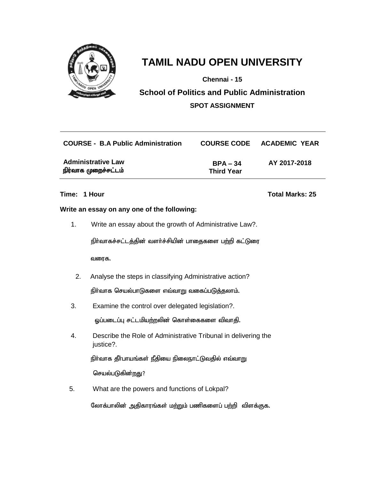

**Chennai - 15**

**School of Politics and Public Administration SPOT ASSIGNMENT**

| <b>COURSE - B.A Public Administration</b>         |                                 | COURSE CODE ACADEMIC YEAR |
|---------------------------------------------------|---------------------------------|---------------------------|
| <b>Administrative Law</b><br>நிர்வாக முறைச்சட்டம் | $BPA - 34$<br><b>Third Year</b> | AY 2017-2018              |

## **Write an essay on any one of the following:**

1. Write an essay about the growth of Administrative Law?.

நிர்வாகச்சட்டத்தின் வளர்ச்சியின் பாதைகளை பற்றி கட்டுரை

வரைக.

2. Analyse the steps in classifying Administrative action?

 $f$ நிர்வாக செயல்பாடுகளை எவ்வாறு வகைப்படுத்தலாம்.

3. Examine the control over delegated legislation?.

ஓப்படைப்பு சட்டமியற்றலின் கொள்கைகளை விவாதி.

4. Describe the Role of Administrative Tribunal in delivering the justice?.

நிர்வாக தீர்பாயங்கள் நீதியை நிலைநாட்டுவதில் எவ்வாறு

செயல்படுகின்றது?

5. What are the powers and functions of Lokpal?

லோக்பாலின் அதிகாரங்கள் மற்றும் பணிகளைப் பற்றி விளக்குக.

### **Time: 1 Hour Total Marks: 25**